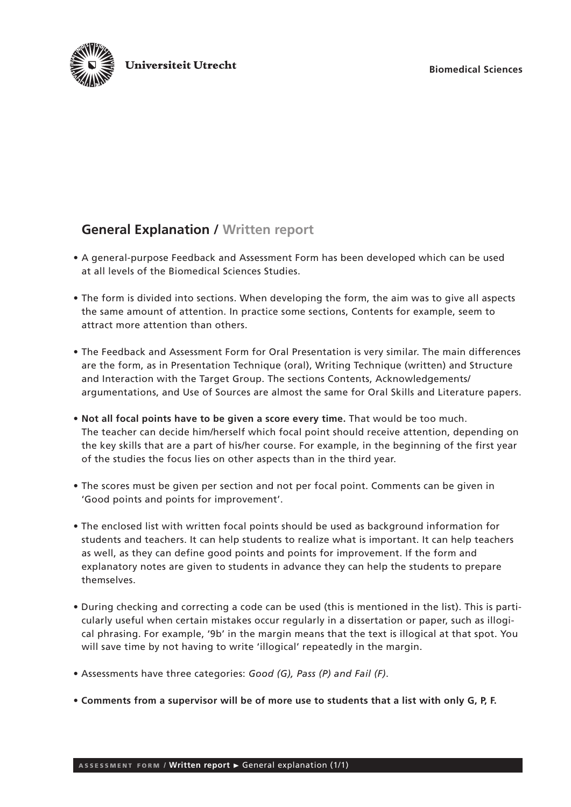

# **General Explanation / Written report**

- A general-purpose Feedback and Assessment Form has been developed which can be used at all levels of the Biomedical Sciences Studies.
- The form is divided into sections. When developing the form, the aim was to give all aspects the same amount of attention. In practice some sections, Contents for example, seem to attract more attention than others.
- The Feedback and Assessment Form for Oral Presentation is very similar. The main differences are the form, as in Presentation Technique (oral), Writing Technique (written) and Structure and Interaction with the Target Group. The sections Contents, Acknowledgements/ argumentations, and Use of Sources are almost the same for Oral Skills and Literature papers.
- **Not all focal points have to be given a score every time.** That would be too much. The teacher can decide him/herself which focal point should receive attention, depending on the key skills that are a part of his/her course. For example, in the beginning of the first year of the studies the focus lies on other aspects than in the third year.
- The scores must be given per section and not per focal point. Comments can be given in 'Good points and points for improvement'.
- The enclosed list with written focal points should be used as background information for students and teachers. It can help students to realize what is important. It can help teachers as well, as they can define good points and points for improvement. If the form and explanatory notes are given to students in advance they can help the students to prepare themselves.
- During checking and correcting a code can be used (this is mentioned in the list). This is particularly useful when certain mistakes occur regularly in a dissertation or paper, such as illogical phrasing. For example, '9b' in the margin means that the text is illogical at that spot. You will save time by not having to write 'illogical' repeatedly in the margin.
- Assessments have three categories: *Good (G), Pass (P) and Fail (F)*.
- **Comments from a supervisor will be of more use to students that a list with only G, P, F.**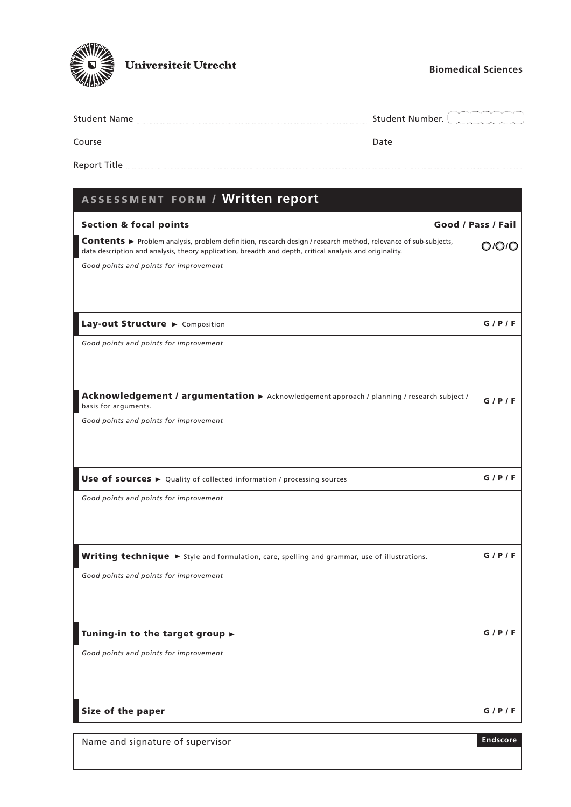

## **Biomedical Sciences**

| <b>Student Name</b> | aynt aynt aynt an aynt a                                                                                                                                                                                                         |
|---------------------|----------------------------------------------------------------------------------------------------------------------------------------------------------------------------------------------------------------------------------|
|                     | <b>Student Number.</b>                                                                                                                                                                                                           |
| .                   | کی در این محمد این محمد این محمد این محمد این محمد این محمد این محمد این محمد این محمد این محمد این محمد این م<br>این محمد این محمد این محمد این محمد این محمد این محمد این محمد این محمد این محمد این محمد این محمد این محمد ای |
| Course              | Jate                                                                                                                                                                                                                             |
|                     |                                                                                                                                                                                                                                  |

Report Title

| ASSESSMENT FORM / Written report                                                                                                                                                                                           |                    |  |
|----------------------------------------------------------------------------------------------------------------------------------------------------------------------------------------------------------------------------|--------------------|--|
| <b>Section &amp; focal points</b>                                                                                                                                                                                          | Good / Pass / Fail |  |
| Contents ► Problem analysis, problem definition, research design / research method, relevance of sub-subjects,<br>data description and analysis, theory application, breadth and depth, critical analysis and originality. | 0 <sup>/</sup> 0/0 |  |
| Good points and points for improvement                                                                                                                                                                                     |                    |  |
| Lay-out Structure > Composition                                                                                                                                                                                            | G/P/F              |  |
| Good points and points for improvement                                                                                                                                                                                     |                    |  |
| Acknowledgement / argumentation > Acknowledgement approach / planning / research subject /<br>basis for arguments.                                                                                                         | G/P/F              |  |
| Good points and points for improvement                                                                                                                                                                                     |                    |  |
| Use of sources > Quality of collected information / processing sources                                                                                                                                                     | G/P/F              |  |
| Good points and points for improvement                                                                                                                                                                                     |                    |  |
| Writing technique > Style and formulation, care, spelling and grammar, use of illustrations.                                                                                                                               | G/P/F              |  |
| Good points and points for improvement                                                                                                                                                                                     |                    |  |
| Tuning-in to the target group $\blacktriangleright$                                                                                                                                                                        | G/P/F              |  |
| Good points and points for improvement                                                                                                                                                                                     |                    |  |
| Size of the paper                                                                                                                                                                                                          | G/P/F              |  |
| Name and signature of supervisor                                                                                                                                                                                           | <b>Endscore</b>    |  |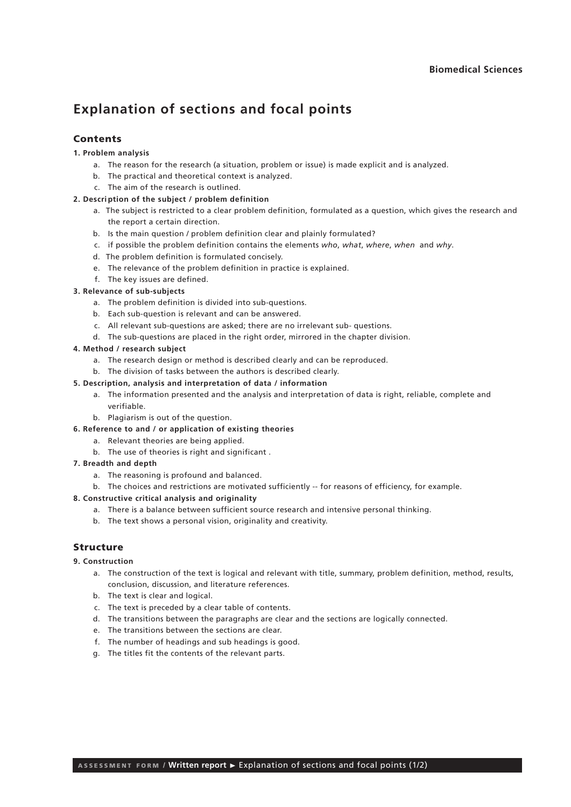## **Explanation of sections and focal points**

## Contents

### **1. Problem analysis**

- a. The reason for the research (a situation, problem or issue) is made explicit and is analyzed.
- b. The practical and theoretical context is analyzed.
- c. The aim of the research is outlined.

#### **2. Descri ption of the subject / problem definition**

- a. The subject is restricted to a clear problem definition, formulated as a question, which gives the research and the report a certain direction.
- b. Is the main question / problem definition clear and plainly formulated?
- c. if possible the problem definition contains the elements *who*, *what*, *where*, *when* and *why*.
- d. The problem definition is formulated concisely.
- e. The relevance of the problem definition in practice is explained.
- f. The key issues are defined.

### **3. Relevance of sub-subjects**

- a. The problem definition is divided into sub-questions.
- b. Each sub-question is relevant and can be answered.
- c. All relevant sub-questions are asked; there are no irrelevant sub- questions.
- d. The sub-questions are placed in the right order, mirrored in the chapter division.

### **4. Method / research subject**

- a. The research design or method is described clearly and can be reproduced.
- b. The division of tasks between the authors is described clearly.

## **5. Description, analysis and interpretation of data / information**

- a. The information presented and the analysis and interpretation of data is right, reliable, complete and verifiable.
- b. Plagiarism is out of the question.
- **6. Reference to and / or application of existing theories**
	- a. Relevant theories are being applied.
	- b. The use of theories is right and significant .
- **7. Breadth and depth**
	- a. The reasoning is profound and balanced.
	- b. The choices and restrictions are motivated sufficiently -- for reasons of efficiency, for example.

#### **8. Constructive critical analysis and originality**

- a. There is a balance between sufficient source research and intensive personal thinking.
- b. The text shows a personal vision, originality and creativity.

## Structure

## **9. Construction**

- a. The construction of the text is logical and relevant with title, summary, problem definition, method, results, conclusion, discussion, and literature references.
- b. The text is clear and logical.
- c. The text is preceded by a clear table of contents.
- d. The transitions between the paragraphs are clear and the sections are logically connected.
- e. The transitions between the sections are clear.
- f. The number of headings and sub headings is good.
- g. The titles fit the contents of the relevant parts.